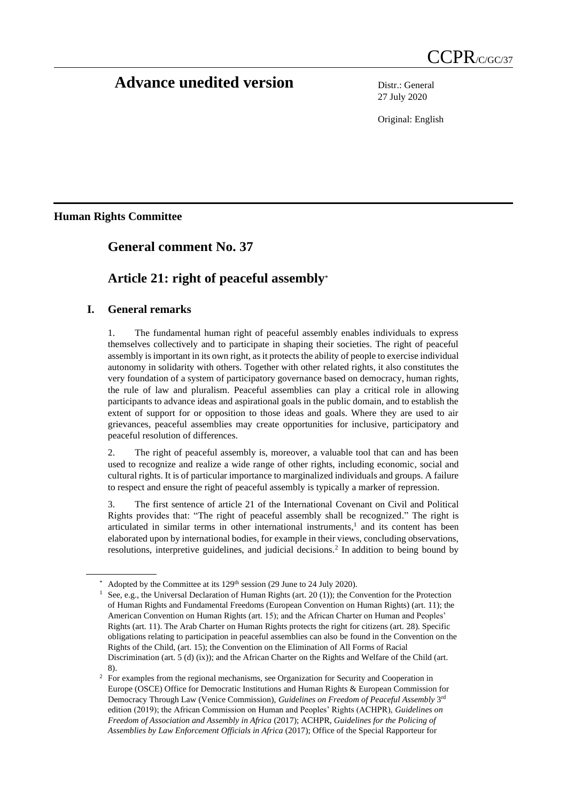# **Advance unedited version** Distr.: General

27 July 2020

Original: English

**Human Rights Committee**

### **General comment No. 37**

## **Article 21: right of peaceful assembly\***

### **I. General remarks**

1. The fundamental human right of peaceful assembly enables individuals to express themselves collectively and to participate in shaping their societies. The right of peaceful assembly is important in its own right, as it protects the ability of people to exercise individual autonomy in solidarity with others. Together with other related rights, it also constitutes the very foundation of a system of participatory governance based on democracy, human rights, the rule of law and pluralism. Peaceful assemblies can play a critical role in allowing participants to advance ideas and aspirational goals in the public domain, and to establish the extent of support for or opposition to those ideas and goals. Where they are used to air grievances, peaceful assemblies may create opportunities for inclusive, participatory and peaceful resolution of differences.

2. The right of peaceful assembly is, moreover, a valuable tool that can and has been used to recognize and realize a wide range of other rights, including economic, social and cultural rights. It is of particular importance to marginalized individuals and groups. A failure to respect and ensure the right of peaceful assembly is typically a marker of repression.

3. The first sentence of article 21 of the International Covenant on Civil and Political Rights provides that: "The right of peaceful assembly shall be recognized." The right is articulated in similar terms in other international instruments, 1 and its content has been elaborated upon by international bodies, for example in their views, concluding observations, resolutions, interpretive guidelines, and judicial decisions.<sup>2</sup> In addition to being bound by

Adopted by the Committee at its 129<sup>th</sup> session (29 June to 24 July 2020).

<sup>&</sup>lt;sup>1</sup> See, e.g., the Universal Declaration of Human Rights (art. 20 (1)); the Convention for the Protection of Human Rights and Fundamental Freedoms (European Convention on Human Rights) (art. 11); the American Convention on Human Rights (art. 15); and the African Charter on Human and Peoples' Rights (art. 11). The Arab Charter on Human Rights protects the right for citizens (art. 28). Specific obligations relating to participation in peaceful assemblies can also be found in the Convention on the Rights of the Child, (art. 15); the Convention on the Elimination of All Forms of Racial Discrimination (art. 5 (d) (ix)); and the African Charter on the Rights and Welfare of the Child (art. 8).

<sup>&</sup>lt;sup>2</sup> For examples from the regional mechanisms, see Organization for Security and Cooperation in Europe (OSCE) Office for Democratic Institutions and Human Rights & European Commission for Democracy Through Law (Venice Commission), *Guidelines on Freedom of Peaceful Assembly* 3<sup>rd</sup> edition (2019); the African Commission on Human and Peoples' Rights (ACHPR), *Guidelines on Freedom of Association and Assembly in Africa* (2017); ACHPR, *Guidelines for the Policing of Assemblies by Law Enforcement Officials in Africa* (2017); Office of the Special Rapporteur for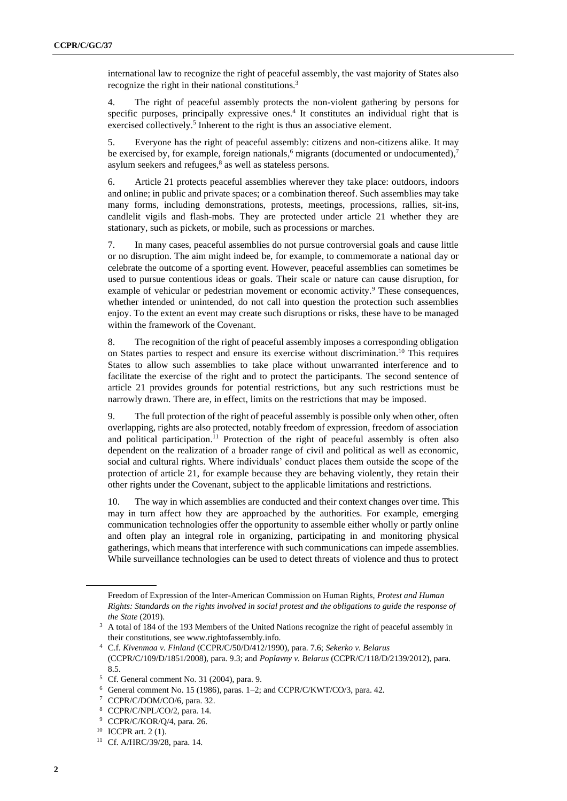international law to recognize the right of peaceful assembly, the vast majority of States also recognize the right in their national constitutions.<sup>3</sup>

4. The right of peaceful assembly protects the non-violent gathering by persons for specific purposes, principally expressive ones. 4 It constitutes an individual right that is exercised collectively.<sup>5</sup> Inherent to the right is thus an associative element.

5. Everyone has the right of peaceful assembly: citizens and non-citizens alike. It may be exercised by, for example, foreign nationals, <sup>6</sup> migrants (documented or undocumented),<sup>7</sup> asylum seekers and refugees,<sup>8</sup> as well as stateless persons.

6. Article 21 protects peaceful assemblies wherever they take place: outdoors, indoors and online; in public and private spaces; or a combination thereof. Such assemblies may take many forms, including demonstrations, protests, meetings, processions, rallies, sit-ins, candlelit vigils and flash-mobs. They are protected under article 21 whether they are stationary, such as pickets, or mobile, such as processions or marches.

7. In many cases, peaceful assemblies do not pursue controversial goals and cause little or no disruption. The aim might indeed be, for example, to commemorate a national day or celebrate the outcome of a sporting event. However, peaceful assemblies can sometimes be used to pursue contentious ideas or goals. Their scale or nature can cause disruption, for example of vehicular or pedestrian movement or economic activity.<sup>9</sup> These consequences, whether intended or unintended, do not call into question the protection such assemblies enjoy. To the extent an event may create such disruptions or risks, these have to be managed within the framework of the Covenant.

8. The recognition of the right of peaceful assembly imposes a corresponding obligation on States parties to respect and ensure its exercise without discrimination. <sup>10</sup> This requires States to allow such assemblies to take place without unwarranted interference and to facilitate the exercise of the right and to protect the participants. The second sentence of article 21 provides grounds for potential restrictions, but any such restrictions must be narrowly drawn. There are, in effect, limits on the restrictions that may be imposed.

9. The full protection of the right of peaceful assembly is possible only when other, often overlapping, rights are also protected, notably freedom of expression, freedom of association and political participation. <sup>11</sup> Protection of the right of peaceful assembly is often also dependent on the realization of a broader range of civil and political as well as economic, social and cultural rights. Where individuals' conduct places them outside the scope of the protection of article 21, for example because they are behaving violently, they retain their other rights under the Covenant, subject to the applicable limitations and restrictions.

10. The way in which assemblies are conducted and their context changes over time. This may in turn affect how they are approached by the authorities. For example, emerging communication technologies offer the opportunity to assemble either wholly or partly online and often play an integral role in organizing, participating in and monitoring physical gatherings, which means that interference with such communications can impede assemblies. While surveillance technologies can be used to detect threats of violence and thus to protect

Freedom of Expression of the Inter-American Commission on Human Rights, *Protest and Human Rights: Standards on the rights involved in social protest and the obligations to guide the response of the State* (2019).

<sup>&</sup>lt;sup>3</sup> A total of 184 of the 193 Members of the United Nations recognize the right of peaceful assembly in their constitutions, see www.rightofassembly.info.

<sup>4</sup> C.f. *Kivenmaa v. Finland* (CCPR/C/50/D/412/1990), para. 7.6; *Sekerko v. Belarus* (CCPR/C/109/D/1851/2008), para. 9.3; and *Poplavny v. Belarus* (CCPR/C/118/D/2139/2012), para. 8.5.

<sup>5</sup> Cf. General comment No. 31 (2004), para. 9.

<sup>6</sup> General comment No. 15 (1986), paras. 1–2; and CCPR/C/KWT/CO/3, para. 42.

<sup>7</sup> CCPR/C/DOM/CO/6, para. 32.

<sup>8</sup> CCPR/C/NPL/CO/2, para. 14.

<sup>9</sup> CCPR/C/KOR/Q/4, para. 26.

<sup>10</sup> ICCPR art. 2 (1).

<sup>11</sup> Cf. A/HRC/39/28, para. 14.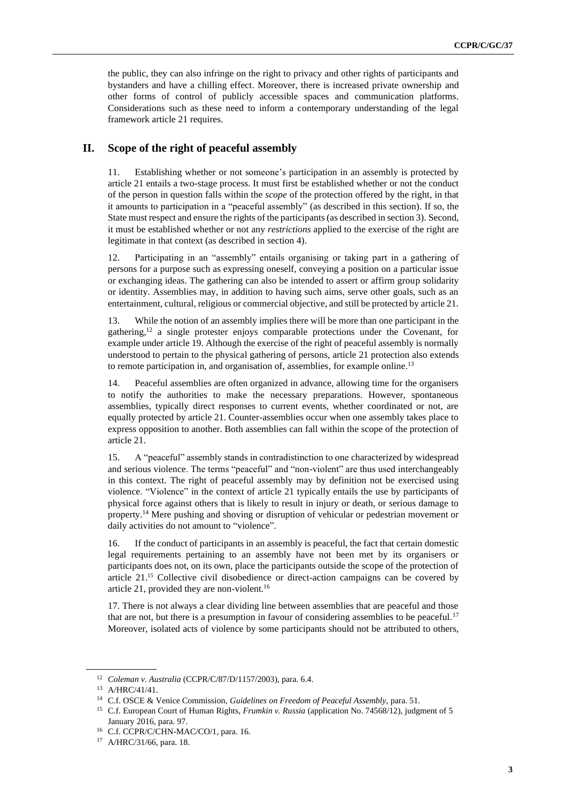the public, they can also infringe on the right to privacy and other rights of participants and bystanders and have a chilling effect. Moreover, there is increased private ownership and other forms of control of publicly accessible spaces and communication platforms. Considerations such as these need to inform a contemporary understanding of the legal framework article 21 requires.

#### **II. Scope of the right of peaceful assembly**

11. Establishing whether or not someone's participation in an assembly is protected by article 21 entails a two-stage process. It must first be established whether or not the conduct of the person in question falls within the *scope* of the protection offered by the right, in that it amounts to participation in a "peaceful assembly" (as described in this section). If so, the State must respect and ensure the rights of the participants (as described in section 3). Second, it must be established whether or not any *restrictions* applied to the exercise of the right are legitimate in that context (as described in section 4).

12. Participating in an "assembly" entails organising or taking part in a gathering of persons for a purpose such as expressing oneself, conveying a position on a particular issue or exchanging ideas. The gathering can also be intended to assert or affirm group solidarity or identity. Assemblies may, in addition to having such aims, serve other goals, such as an entertainment, cultural, religious or commercial objective, and still be protected by article 21.

13. While the notion of an assembly implies there will be more than one participant in the gathering,<sup>12</sup> a single protester enjoys comparable protections under the Covenant, for example under article 19. Although the exercise of the right of peaceful assembly is normally understood to pertain to the physical gathering of persons, article 21 protection also extends to remote participation in, and organisation of, assemblies, for example online.<sup>13</sup>

14. Peaceful assemblies are often organized in advance, allowing time for the organisers to notify the authorities to make the necessary preparations. However, spontaneous assemblies, typically direct responses to current events, whether coordinated or not, are equally protected by article 21. Counter-assemblies occur when one assembly takes place to express opposition to another. Both assemblies can fall within the scope of the protection of article 21.

15. A "peaceful" assembly stands in contradistinction to one characterized by widespread and serious violence. The terms "peaceful" and "non-violent" are thus used interchangeably in this context. The right of peaceful assembly may by definition not be exercised using violence. "Violence" in the context of article 21 typically entails the use by participants of physical force against others that is likely to result in injury or death, or serious damage to property.<sup>14</sup> Mere pushing and shoving or disruption of vehicular or pedestrian movement or daily activities do not amount to "violence".

16. If the conduct of participants in an assembly is peaceful, the fact that certain domestic legal requirements pertaining to an assembly have not been met by its organisers or participants does not, on its own, place the participants outside the scope of the protection of article 21.<sup>15</sup> Collective civil disobedience or direct-action campaigns can be covered by article 21, provided they are non-violent.<sup>16</sup>

17. There is not always a clear dividing line between assemblies that are peaceful and those that are not, but there is a presumption in favour of considering assemblies to be peaceful.<sup>17</sup> Moreover, isolated acts of violence by some participants should not be attributed to others,

<sup>12</sup> *Coleman v. Australia* (CCPR/C/87/D/1157/2003), para. 6.4.

<sup>13</sup> A/HRC/41/41.

<sup>14</sup> C.f. OSCE & Venice Commission, *Guidelines on Freedom of Peaceful Assembly*, para. 51.

<sup>15</sup> C.f. European Court of Human Rights, *Frumkin v. Russia* (application No. 74568/12), judgment of 5 January 2016, para. 97.

<sup>&</sup>lt;sup>16</sup> C.f. CCPR/C/CHN-MAC/CO/1, para. 16.

<sup>17</sup> A/HRC/31/66, para. 18.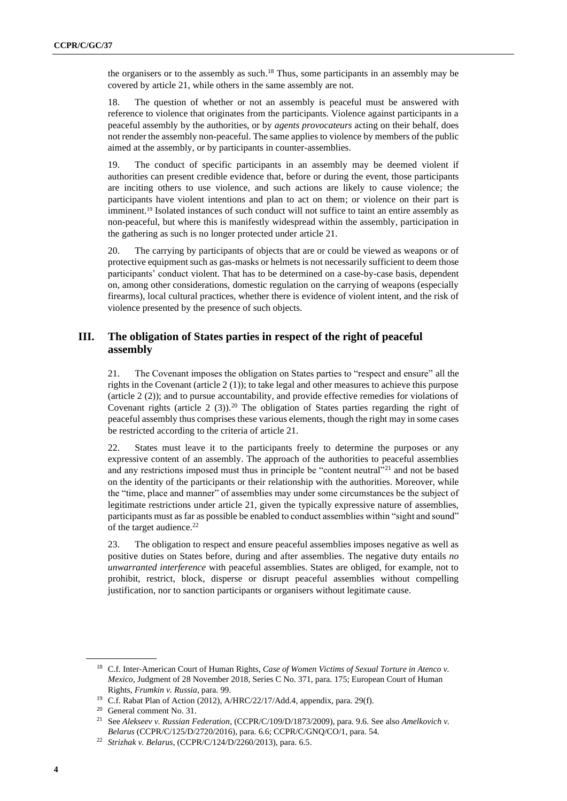the organisers or to the assembly as such. <sup>18</sup> Thus, some participants in an assembly may be covered by article 21, while others in the same assembly are not.

18. The question of whether or not an assembly is peaceful must be answered with reference to violence that originates from the participants. Violence against participants in a peaceful assembly by the authorities, or by *agents provocateurs* acting on their behalf, does not render the assembly non-peaceful. The same applies to violence by members of the public aimed at the assembly, or by participants in counter-assemblies.

19. The conduct of specific participants in an assembly may be deemed violent if authorities can present credible evidence that, before or during the event, those participants are inciting others to use violence, and such actions are likely to cause violence; the participants have violent intentions and plan to act on them; or violence on their part is imminent.<sup>19</sup> Isolated instances of such conduct will not suffice to taint an entire assembly as non-peaceful, but where this is manifestly widespread within the assembly, participation in the gathering as such is no longer protected under article 21.

20. The carrying by participants of objects that are or could be viewed as weapons or of protective equipment such as gas-masks or helmets is not necessarily sufficient to deem those participants' conduct violent. That has to be determined on a case-by-case basis, dependent on, among other considerations, domestic regulation on the carrying of weapons (especially firearms), local cultural practices, whether there is evidence of violent intent, and the risk of violence presented by the presence of such objects.

#### **III. The obligation of States parties in respect of the right of peaceful assembly**

21. The Covenant imposes the obligation on States parties to "respect and ensure" all the rights in the Covenant (article 2 (1)); to take legal and other measures to achieve this purpose (article 2 (2)); and to pursue accountability, and provide effective remedies for violations of Covenant rights (article 2  $(3)$ ).<sup>20</sup> The obligation of States parties regarding the right of peaceful assembly thus comprises these various elements, though the right may in some cases be restricted according to the criteria of article 21.

22. States must leave it to the participants freely to determine the purposes or any expressive content of an assembly. The approach of the authorities to peaceful assemblies and any restrictions imposed must thus in principle be "content neutral"<sup>21</sup> and not be based on the identity of the participants or their relationship with the authorities. Moreover, while the "time, place and manner" of assemblies may under some circumstances be the subject of legitimate restrictions under article 21, given the typically expressive nature of assemblies, participants must as far as possible be enabled to conduct assemblies within "sight and sound" of the target audience.<sup>22</sup>

23. The obligation to respect and ensure peaceful assemblies imposes negative as well as positive duties on States before, during and after assemblies. The negative duty entails *no unwarranted interference* with peaceful assemblies. States are obliged, for example, not to prohibit, restrict, block, disperse or disrupt peaceful assemblies without compelling justification, nor to sanction participants or organisers without legitimate cause.

<sup>18</sup> C.f. Inter-American Court of Human Rights, *Case of Women Victims of Sexual Torture in Atenco v. Mexico*, Judgment of 28 November 2018, Series C No. 371, para. 175; European Court of Human Rights, *Frumkin v. Russia*, para. 99.

<sup>&</sup>lt;sup>19</sup> C.f. Rabat Plan of Action (2012), A/HRC/22/17/Add.4, appendix, para. 29(f).

<sup>20</sup> General comment No. 31.

<sup>21</sup> See *Alekseev v. Russian Federation*, (CCPR/C/109/D/1873/2009), para. 9.6. See also *Amelkovich v. Belarus* (CCPR/C/125/D/2720/2016), para. 6.6; CCPR/C/GNQ/CO/1, para. 54.

<sup>22</sup> *Strizhak v. Belarus*, (CCPR/C/124/D/2260/2013), para. 6.5.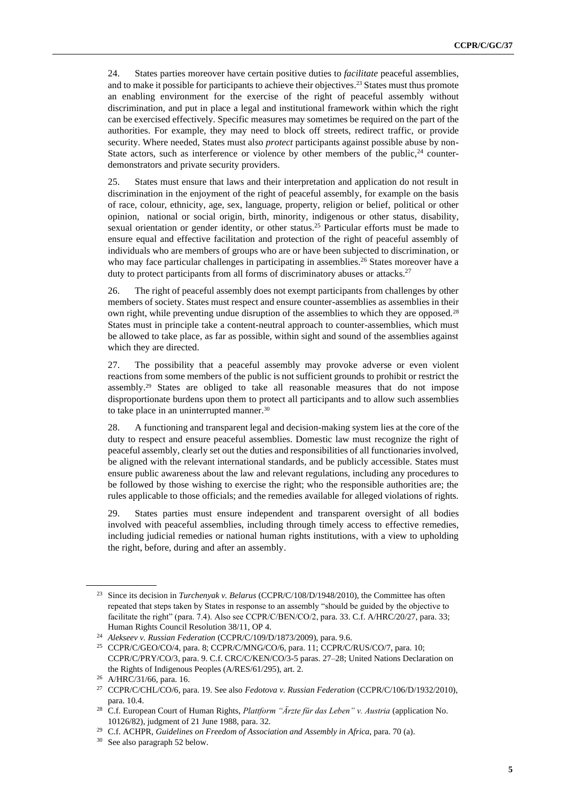24. States parties moreover have certain positive duties to *facilitate* peaceful assemblies, and to make it possible for participants to achieve their objectives. <sup>23</sup> States must thus promote an enabling environment for the exercise of the right of peaceful assembly without discrimination, and put in place a legal and institutional framework within which the right can be exercised effectively. Specific measures may sometimes be required on the part of the authorities. For example, they may need to block off streets, redirect traffic, or provide security. Where needed, States must also *protect* participants against possible abuse by non-State actors, such as interference or violence by other members of the public,  $24$  counterdemonstrators and private security providers.

25. States must ensure that laws and their interpretation and application do not result in discrimination in the enjoyment of the right of peaceful assembly, for example on the basis of race, colour, ethnicity, age, sex, language, property, religion or belief, political or other opinion, national or social origin, birth, minority, indigenous or other status, disability, sexual orientation or gender identity, or other status.<sup>25</sup> Particular efforts must be made to ensure equal and effective facilitation and protection of the right of peaceful assembly of individuals who are members of groups who are or have been subjected to discrimination, or who may face particular challenges in participating in assemblies.<sup>26</sup> States moreover have a duty to protect participants from all forms of discriminatory abuses or attacks.<sup>27</sup>

26. The right of peaceful assembly does not exempt participants from challenges by other members of society. States must respect and ensure counter-assemblies as assemblies in their own right, while preventing undue disruption of the assemblies to which they are opposed.<sup>28</sup> States must in principle take a content-neutral approach to counter-assemblies, which must be allowed to take place, as far as possible, within sight and sound of the assemblies against which they are directed.

27. The possibility that a peaceful assembly may provoke adverse or even violent reactions from some members of the public is not sufficient grounds to prohibit or restrict the assembly.<sup>29</sup> States are obliged to take all reasonable measures that do not impose disproportionate burdens upon them to protect all participants and to allow such assemblies to take place in an uninterrupted manner.<sup>30</sup>

28. A functioning and transparent legal and decision-making system lies at the core of the duty to respect and ensure peaceful assemblies. Domestic law must recognize the right of peaceful assembly, clearly set out the duties and responsibilities of all functionaries involved, be aligned with the relevant international standards, and be publicly accessible. States must ensure public awareness about the law and relevant regulations, including any procedures to be followed by those wishing to exercise the right; who the responsible authorities are; the rules applicable to those officials; and the remedies available for alleged violations of rights.

29. States parties must ensure independent and transparent oversight of all bodies involved with peaceful assemblies, including through timely access to effective remedies, including judicial remedies or national human rights institutions, with a view to upholding the right, before, during and after an assembly.

<sup>23</sup> Since its decision in *Turchenyak v. Belarus* (CCPR/C/108/D/1948/2010), the Committee has often repeated that steps taken by States in response to an assembly "should be guided by the objective to facilitate the right" (para. 7.4). Also see CCPR/C/BEN/CO/2, para. 33. C.f. A/HRC/20/27, para. 33; Human Rights Council Resolution 38/11, OP 4.

<sup>24</sup> *Alekseev v. Russian Federation* (CCPR/C/109/D/1873/2009), para. 9.6.

<sup>25</sup> CCPR/C/GEO/CO/4, para. 8; CCPR/C/MNG/CO/6, para. 11; CCPR/C/RUS/CO/7, para. 10; CCPR/C/PRY/CO/3, para. 9. C.f. CRC/C/KEN/CO/3-5 paras. 27–28; United Nations Declaration on the Rights of Indigenous Peoples (A/RES/61/295), art. 2.

<sup>26</sup> A/HRC/31/66, para. 16.

<sup>27</sup> CCPR/C/CHL/CO/6, para. 19. See also *Fedotova v. Russian Federation* (CCPR/C/106/D/1932/2010), para. 10.4.

<sup>28</sup> C.f. European Court of Human Rights, *Plattform "Ärzte für das Leben" v. Austria* (application No. 10126/82), judgment of 21 June 1988, para. 32.

<sup>29</sup> C.f. ACHPR, *Guidelines on Freedom of Association and Assembly in Africa*, para. 70 (a).

<sup>30</sup> See also paragraph 52 below.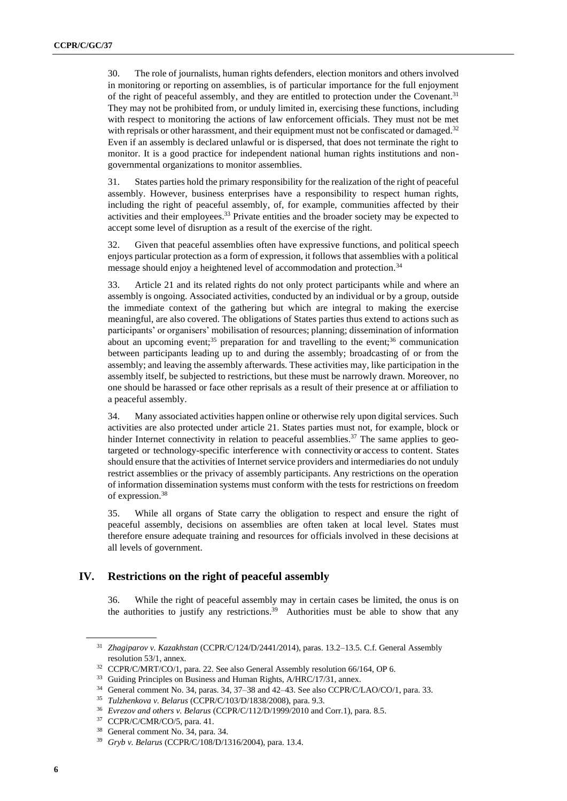30. The role of journalists, human rights defenders, election monitors and others involved in monitoring or reporting on assemblies, is of particular importance for the full enjoyment of the right of peaceful assembly, and they are entitled to protection under the Covenant.<sup>31</sup> They may not be prohibited from, or unduly limited in, exercising these functions, including with respect to monitoring the actions of law enforcement officials. They must not be met with reprisals or other harassment, and their equipment must not be confiscated or damaged.<sup>32</sup> Even if an assembly is declared unlawful or is dispersed, that does not terminate the right to monitor. It is a good practice for independent national human rights institutions and nongovernmental organizations to monitor assemblies.

31. States parties hold the primary responsibility for the realization of the right of peaceful assembly. However, business enterprises have a responsibility to respect human rights, including the right of peaceful assembly, of, for example, communities affected by their activities and their employees.<sup>33</sup> Private entities and the broader society may be expected to accept some level of disruption as a result of the exercise of the right.

32. Given that peaceful assemblies often have expressive functions, and political speech enjoys particular protection as a form of expression, it follows that assemblies with a political message should enjoy a heightened level of accommodation and protection.<sup>34</sup>

33. Article 21 and its related rights do not only protect participants while and where an assembly is ongoing. Associated activities, conducted by an individual or by a group, outside the immediate context of the gathering but which are integral to making the exercise meaningful, are also covered. The obligations of States parties thus extend to actions such as participants' or organisers' mobilisation of resources; planning; dissemination of information about an upcoming event; $35$  preparation for and travelling to the event; $36$  communication between participants leading up to and during the assembly; broadcasting of or from the assembly; and leaving the assembly afterwards. These activities may, like participation in the assembly itself, be subjected to restrictions, but these must be narrowly drawn. Moreover, no one should be harassed or face other reprisals as a result of their presence at or affiliation to a peaceful assembly.

34. Many associated activities happen online or otherwise rely upon digital services. Such activities are also protected under article 21. States parties must not, for example, block or hinder Internet connectivity in relation to peaceful assemblies.<sup>37</sup> The same applies to geotargeted or technology-specific interference with connectivity or access to content. States should ensure that the activities of Internet service providers and intermediaries do not unduly restrict assemblies or the privacy of assembly participants. Any restrictions on the operation of information dissemination systems must conform with the tests for restrictions on freedom of expression.<sup>38</sup>

35. While all organs of State carry the obligation to respect and ensure the right of peaceful assembly, decisions on assemblies are often taken at local level. States must therefore ensure adequate training and resources for officials involved in these decisions at all levels of government.

#### **IV. Restrictions on the right of peaceful assembly**

36. While the right of peaceful assembly may in certain cases be limited, the onus is on the authorities to justify any restrictions. 39 Authorities must be able to show that any

<sup>31</sup> *Zhagiparov v. Kazakhstan* (CCPR/C/124/D/2441/2014), paras. 13.2–13.5. C.f. General Assembly resolution 53/1, annex.

<sup>32</sup> CCPR/C/MRT/CO/1, para. 22. See also General Assembly resolution 66/164, OP 6.

<sup>&</sup>lt;sup>33</sup> Guiding Principles on Business and Human Rights, A/HRC/17/31, annex.

<sup>34</sup> General comment No. 34, paras. 34, 37–38 and 42–43. See also CCPR/C/LAO/CO/1, para. 33.

<sup>35</sup> *Tulzhenkova v. Belarus* (CCPR/C/103/D/1838/2008), para. 9.3.

<sup>36</sup> *Evrezov and others v. Belarus* (CCPR/C/112/D/1999/2010 and Corr.1), para. 8.5.

<sup>37</sup> CCPR/C/CMR/CO/5, para. 41.

<sup>38</sup> General comment No. 34, para. 34.

<sup>39</sup> *Gryb v. Belarus* (CCPR/C/108/D/1316/2004), para. 13.4.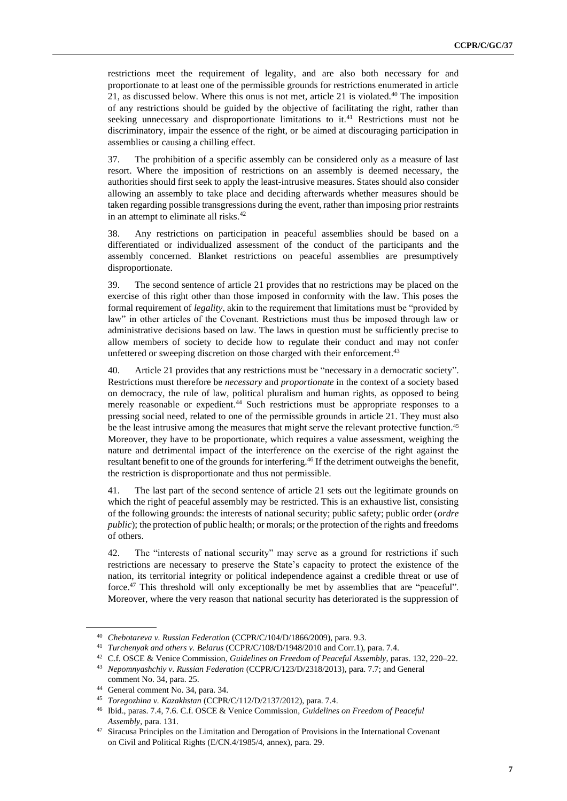restrictions meet the requirement of legality, and are also both necessary for and proportionate to at least one of the permissible grounds for restrictions enumerated in article 21, as discussed below. Where this onus is not met, article 21 is violated.<sup>40</sup> The imposition of any restrictions should be guided by the objective of facilitating the right, rather than seeking unnecessary and disproportionate limitations to it.<sup>41</sup> Restrictions must not be discriminatory, impair the essence of the right, or be aimed at discouraging participation in assemblies or causing a chilling effect.

37. The prohibition of a specific assembly can be considered only as a measure of last resort. Where the imposition of restrictions on an assembly is deemed necessary, the authorities should first seek to apply the least-intrusive measures. States should also consider allowing an assembly to take place and deciding afterwards whether measures should be taken regarding possible transgressions during the event, rather than imposing prior restraints in an attempt to eliminate all risks. $42$ 

38. Any restrictions on participation in peaceful assemblies should be based on a differentiated or individualized assessment of the conduct of the participants and the assembly concerned. Blanket restrictions on peaceful assemblies are presumptively disproportionate.

39. The second sentence of article 21 provides that no restrictions may be placed on the exercise of this right other than those imposed in conformity with the law. This poses the formal requirement of *legality*, akin to the requirement that limitations must be "provided by law" in other articles of the Covenant. Restrictions must thus be imposed through law or administrative decisions based on law. The laws in question must be sufficiently precise to allow members of society to decide how to regulate their conduct and may not confer unfettered or sweeping discretion on those charged with their enforcement.<sup>43</sup>

40. Article 21 provides that any restrictions must be "necessary in a democratic society". Restrictions must therefore be *necessary* and *proportionate* in the context of a society based on democracy, the rule of law, political pluralism and human rights, as opposed to being merely reasonable or expedient.<sup>44</sup> Such restrictions must be appropriate responses to a pressing social need, related to one of the permissible grounds in article 21. They must also be the least intrusive among the measures that might serve the relevant protective function.<sup>45</sup> Moreover, they have to be proportionate, which requires a value assessment, weighing the nature and detrimental impact of the interference on the exercise of the right against the resultant benefit to one of the grounds for interfering.<sup>46</sup> If the detriment outweighs the benefit, the restriction is disproportionate and thus not permissible.

41. The last part of the second sentence of article 21 sets out the legitimate grounds on which the right of peaceful assembly may be restricted. This is an exhaustive list, consisting of the following grounds: the interests of national security; public safety; public order (*ordre public*); the protection of public health; or morals; or the protection of the rights and freedoms of others.

42. The "interests of national security" may serve as a ground for restrictions if such restrictions are necessary to preserve the State's capacity to protect the existence of the nation, its territorial integrity or political independence against a credible threat or use of force.<sup>47</sup> This threshold will only exceptionally be met by assemblies that are "peaceful". Moreover, where the very reason that national security has deteriorated is the suppression of

<sup>40</sup> *Chebotareva v. Russian Federation* (CCPR/C/104/D/1866/2009), para. 9.3.

<sup>41</sup> *Turchenyak and others v. Belarus* (CCPR/C/108/D/1948/2010 and Corr.1), para. 7.4.

<sup>42</sup> C.f. OSCE & Venice Commission, *Guidelines on Freedom of Peaceful Assembly*, paras. 132, 220–22.

<sup>43</sup> *Nepomnyashchiy v. Russian Federation* (CCPR/C/123/D/2318/2013), para. 7.7; and General comment No. 34, para. 25.

<sup>44</sup> General comment No. 34, para. 34.

<sup>45</sup> *Toregozhina v. Kazakhstan* (CCPR/C/112/D/2137/2012), para. 7.4.

<sup>46</sup> Ibid., paras. 7.4, 7.6. C.f. OSCE & Venice Commission, *Guidelines on Freedom of Peaceful Assembly*, para. 131.

<sup>&</sup>lt;sup>47</sup> Siracusa Principles on the Limitation and Derogation of Provisions in the International Covenant on Civil and Political Rights (E/CN.4/1985/4, annex), para. 29.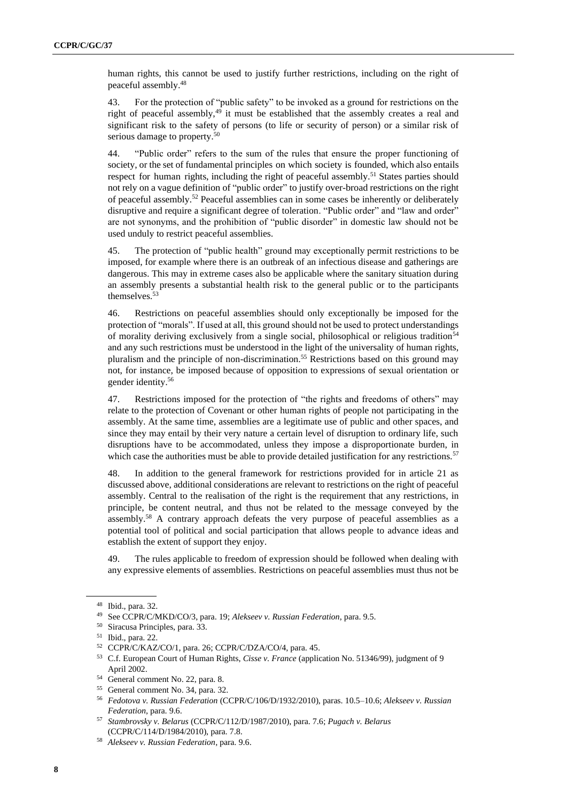human rights, this cannot be used to justify further restrictions, including on the right of peaceful assembly.<sup>48</sup>

43. For the protection of "public safety" to be invoked as a ground for restrictions on the right of peaceful assembly,<sup>49</sup> it must be established that the assembly creates a real and significant risk to the safety of persons (to life or security of person) or a similar risk of serious damage to property.<sup>50</sup>

44. "Public order" refers to the sum of the rules that ensure the proper functioning of society, or the set of fundamental principles on which society is founded, which also entails respect for human rights, including the right of peaceful assembly.<sup>51</sup> States parties should not rely on a vague definition of "public order" to justify over-broad restrictions on the right of peaceful assembly. <sup>52</sup> Peaceful assemblies can in some cases be inherently or deliberately disruptive and require a significant degree of toleration. "Public order" and "law and order" are not synonyms, and the prohibition of "public disorder" in domestic law should not be used unduly to restrict peaceful assemblies.

45. The protection of "public health" ground may exceptionally permit restrictions to be imposed, for example where there is an outbreak of an infectious disease and gatherings are dangerous. This may in extreme cases also be applicable where the sanitary situation during an assembly presents a substantial health risk to the general public or to the participants themselves.<sup>53</sup>

46. Restrictions on peaceful assemblies should only exceptionally be imposed for the protection of "morals". If used at all, this ground should not be used to protect understandings of morality deriving exclusively from a single social, philosophical or religious tradition<sup>54</sup> and any such restrictions must be understood in the light of the universality of human rights, pluralism and the principle of non-discrimination. <sup>55</sup> Restrictions based on this ground may not, for instance, be imposed because of opposition to expressions of sexual orientation or gender identity. 56

47. Restrictions imposed for the protection of "the rights and freedoms of others" may relate to the protection of Covenant or other human rights of people not participating in the assembly. At the same time, assemblies are a legitimate use of public and other spaces, and since they may entail by their very nature a certain level of disruption to ordinary life, such disruptions have to be accommodated, unless they impose a disproportionate burden, in which case the authorities must be able to provide detailed justification for any restrictions.<sup>57</sup>

48. In addition to the general framework for restrictions provided for in article 21 as discussed above, additional considerations are relevant to restrictions on the right of peaceful assembly. Central to the realisation of the right is the requirement that any restrictions, in principle, be content neutral, and thus not be related to the message conveyed by the assembly.<sup>58</sup> A contrary approach defeats the very purpose of peaceful assemblies as a potential tool of political and social participation that allows people to advance ideas and establish the extent of support they enjoy.

49. The rules applicable to freedom of expression should be followed when dealing with any expressive elements of assemblies. Restrictions on peaceful assemblies must thus not be

<sup>48</sup> Ibid., para. 32.

<sup>49</sup> See CCPR/C/MKD/CO/3, para. 19; *Alekseev v. Russian Federation*, para. 9.5.

<sup>50</sup> Siracusa Principles, para. 33.

<sup>51</sup> Ibid., para. 22.

<sup>52</sup> CCPR/C/KAZ/CO/1, para. 26; CCPR/C/DZA/CO/4, para. 45.

<sup>53</sup> C.f. European Court of Human Rights, *Cisse v. France* (application No. 51346/99), judgment of 9 April 2002.

<sup>54</sup> General comment No. 22, para. 8.

<sup>55</sup> General comment No. 34, para. 32.

<sup>56</sup> *Fedotova v. Russian Federation* (CCPR/C/106/D/1932/2010), paras. 10.5–10.6; *Alekseev v. Russian Federation*, para. 9.6.

<sup>57</sup> *Stambrovsky v. Belarus* (CCPR/C/112/D/1987/2010), para. 7.6; *Pugach v. Belarus* (CCPR/C/114/D/1984/2010), para. 7.8.

<sup>58</sup> *Alekseev v. Russian Federation*, para. 9.6.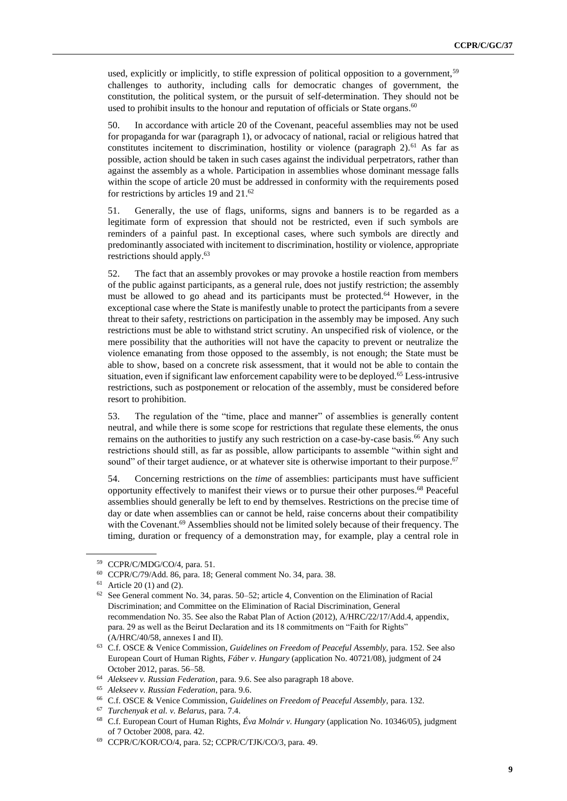used, explicitly or implicitly, to stifle expression of political opposition to a government,<sup>59</sup> challenges to authority, including calls for democratic changes of government, the constitution, the political system, or the pursuit of self-determination. They should not be used to prohibit insults to the honour and reputation of officials or State organs.<sup>60</sup>

50. In accordance with article 20 of the Covenant, peaceful assemblies may not be used for propaganda for war (paragraph 1), or advocacy of national, racial or religious hatred that constitutes incitement to discrimination, hostility or violence (paragraph  $2$ ).<sup>61</sup> As far as possible, action should be taken in such cases against the individual perpetrators, rather than against the assembly as a whole. Participation in assemblies whose dominant message falls within the scope of article 20 must be addressed in conformity with the requirements posed for restrictions by articles 19 and 21.<sup>62</sup>

51. Generally, the use of flags, uniforms, signs and banners is to be regarded as a legitimate form of expression that should not be restricted, even if such symbols are reminders of a painful past. In exceptional cases, where such symbols are directly and predominantly associated with incitement to discrimination, hostility or violence, appropriate restrictions should apply. 63

52. The fact that an assembly provokes or may provoke a hostile reaction from members of the public against participants, as a general rule, does not justify restriction; the assembly must be allowed to go ahead and its participants must be protected.<sup>64</sup> However, in the exceptional case where the State is manifestly unable to protect the participants from a severe threat to their safety, restrictions on participation in the assembly may be imposed. Any such restrictions must be able to withstand strict scrutiny. An unspecified risk of violence, or the mere possibility that the authorities will not have the capacity to prevent or neutralize the violence emanating from those opposed to the assembly, is not enough; the State must be able to show, based on a concrete risk assessment, that it would not be able to contain the situation, even if significant law enforcement capability were to be deployed.<sup>65</sup> Less-intrusive restrictions, such as postponement or relocation of the assembly, must be considered before resort to prohibition.

53. The regulation of the "time, place and manner" of assemblies is generally content neutral, and while there is some scope for restrictions that regulate these elements, the onus remains on the authorities to justify any such restriction on a case-by-case basis.<sup>66</sup> Any such restrictions should still, as far as possible, allow participants to assemble "within sight and sound" of their target audience, or at whatever site is otherwise important to their purpose.<sup>67</sup>

54. Concerning restrictions on the *time* of assemblies: participants must have sufficient opportunity effectively to manifest their views or to pursue their other purposes. <sup>68</sup> Peaceful assemblies should generally be left to end by themselves. Restrictions on the precise time of day or date when assemblies can or cannot be held, raise concerns about their compatibility with the Covenant.<sup>69</sup> Assemblies should not be limited solely because of their frequency. The timing, duration or frequency of a demonstration may, for example, play a central role in

<sup>59</sup> CCPR/C/MDG/CO/4, para. 51.

<sup>60</sup> CCPR/C/79/Add. 86, para. 18; General comment No. 34, para. 38.

 $61$  Article 20 (1) and (2).

 $62$  See General comment No. 34, paras. 50–52; article 4, Convention on the Elimination of Racial Discrimination; and Committee on the Elimination of Racial Discrimination, General recommendation No. 35. See also the Rabat Plan of Action (2012), A/HRC/22/17/Add.4, appendix, para. 29 as well as the Beirut Declaration and its 18 commitments on "Faith for Rights" (A/HRC/40/58, annexes I and II).

<sup>63</sup> C.f. OSCE & Venice Commission, *Guidelines on Freedom of Peaceful Assembly*, para. 152. See also European Court of Human Rights, *Fáber v. Hungary* (application No. 40721/08), judgment of 24 October 2012, paras. 56–58.

<sup>64</sup> *Alekseev v. Russian Federation*, para. 9.6. See also paragraph 18 above.

<sup>65</sup> *Alekseev v. Russian Federation*, para. 9.6.

<sup>66</sup> C.f. OSCE & Venice Commission, *Guidelines on Freedom of Peaceful Assembly*, para. 132.

<sup>67</sup> *Turchenyak et al. v. Belarus*, para. 7.4.

<sup>68</sup> C.f. European Court of Human Rights, *Éva Molnár v. Hungary* (application No. 10346/05), judgment of 7 October 2008, para. 42.

<sup>69</sup> CCPR/C/KOR/CO/4, para. 52; CCPR/C/TJK/CO/3, para. 49.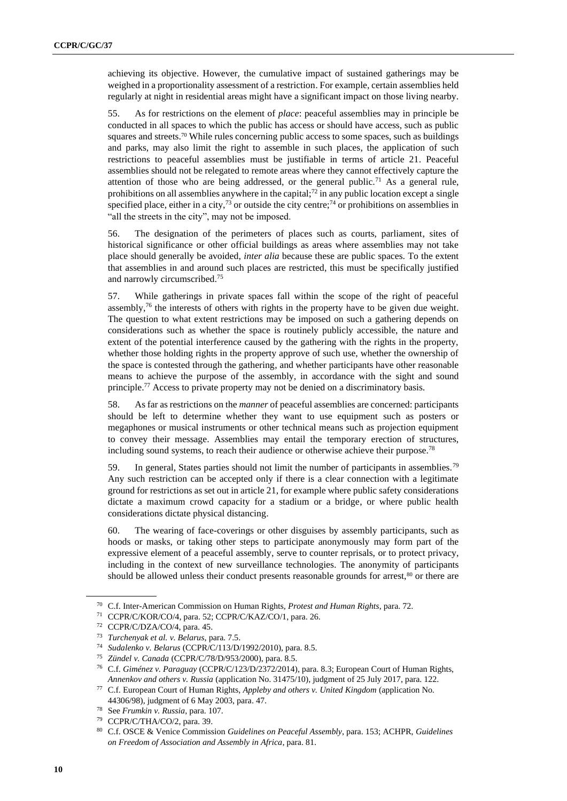achieving its objective. However, the cumulative impact of sustained gatherings may be weighed in a proportionality assessment of a restriction. For example, certain assemblies held regularly at night in residential areas might have a significant impact on those living nearby.

55. As for restrictions on the element of *place*: peaceful assemblies may in principle be conducted in all spaces to which the public has access or should have access, such as public squares and streets.<sup>70</sup> While rules concerning public access to some spaces, such as buildings and parks, may also limit the right to assemble in such places, the application of such restrictions to peaceful assemblies must be justifiable in terms of article 21. Peaceful assemblies should not be relegated to remote areas where they cannot effectively capture the attention of those who are being addressed, or the general public.<sup>71</sup> As a general rule, prohibitions on all assemblies anywhere in the capital;<sup>72</sup> in any public location except a single specified place, either in a city,<sup>73</sup> or outside the city centre;<sup>74</sup> or prohibitions on assemblies in "all the streets in the city", may not be imposed.

56. The designation of the perimeters of places such as courts, parliament, sites of historical significance or other official buildings as areas where assemblies may not take place should generally be avoided, *inter alia* because these are public spaces. To the extent that assemblies in and around such places are restricted, this must be specifically justified and narrowly circumscribed.<sup>75</sup>

57. While gatherings in private spaces fall within the scope of the right of peaceful assembly, $7<sup>6</sup>$  the interests of others with rights in the property have to be given due weight. The question to what extent restrictions may be imposed on such a gathering depends on considerations such as whether the space is routinely publicly accessible, the nature and extent of the potential interference caused by the gathering with the rights in the property, whether those holding rights in the property approve of such use, whether the ownership of the space is contested through the gathering, and whether participants have other reasonable means to achieve the purpose of the assembly, in accordance with the sight and sound principle.<sup>77</sup> Access to private property may not be denied on a discriminatory basis.

58. As far as restrictions on the *manner* of peaceful assemblies are concerned: participants should be left to determine whether they want to use equipment such as posters or megaphones or musical instruments or other technical means such as projection equipment to convey their message. Assemblies may entail the temporary erection of structures, including sound systems, to reach their audience or otherwise achieve their purpose.<sup>78</sup>

59. In general, States parties should not limit the number of participants in assemblies.<sup>79</sup> Any such restriction can be accepted only if there is a clear connection with a legitimate ground for restrictions as set out in article 21, for example where public safety considerations dictate a maximum crowd capacity for a stadium or a bridge, or where public health considerations dictate physical distancing.

60. The wearing of face-coverings or other disguises by assembly participants, such as hoods or masks, or taking other steps to participate anonymously may form part of the expressive element of a peaceful assembly, serve to counter reprisals, or to protect privacy, including in the context of new surveillance technologies. The anonymity of participants should be allowed unless their conduct presents reasonable grounds for arrest,<sup>80</sup> or there are

<sup>70</sup> C.f. Inter-American Commission on Human Rights, *Protest and Human Rights*, para. 72.

<sup>71</sup> CCPR/C/KOR/CO/4, para. 52; CCPR/C/KAZ/CO/1, para. 26.

<sup>72</sup> CCPR/C/DZA/CO/4, para. 45.

<sup>73</sup> *Turchenyak et al. v. Belarus*, para. 7.5.

<sup>74</sup> *Sudalenko v. Belarus* (CCPR/C/113/D/1992/2010), para. 8.5.

<sup>75</sup> *Zündel v. Canada* (CCPR/C/78/D/953/2000), para. 8.5.

<sup>76</sup> C.f. *Giménez v. Paraguay* (CCPR/C/123/D/2372/2014), para. 8.3; European Court of Human Rights, *Annenkov and others v. Russia* (application No. 31475/10), judgment of 25 July 2017, para. 122.

<sup>77</sup> C.f. European Court of Human Rights, *Appleby and others v. United Kingdom* (application No. 44306/98), judgment of 6 May 2003, para. 47.

<sup>78</sup> See *Frumkin v. Russia*, para. 107.

<sup>79</sup> CCPR/C/THA/CO/2, para. 39.

<sup>80</sup> C.f. OSCE & Venice Commission *Guidelines on Peaceful Assembly*, para. 153; ACHPR, *Guidelines on Freedom of Association and Assembly in Africa*, para. 81.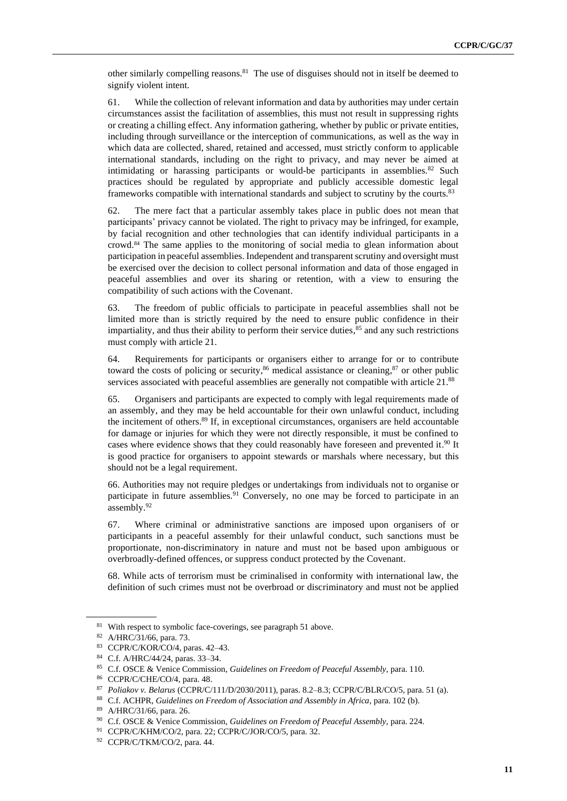other similarly compelling reasons.<sup>81</sup> The use of disguises should not in itself be deemed to signify violent intent.

61. While the collection of relevant information and data by authorities may under certain circumstances assist the facilitation of assemblies, this must not result in suppressing rights or creating a chilling effect. Any information gathering, whether by public or private entities, including through surveillance or the interception of communications, as well as the way in which data are collected, shared, retained and accessed, must strictly conform to applicable international standards, including on the right to privacy, and may never be aimed at intimidating or harassing participants or would-be participants in assemblies. $82$  Such practices should be regulated by appropriate and publicly accessible domestic legal frameworks compatible with international standards and subject to scrutiny by the courts.<sup>83</sup>

62. The mere fact that a particular assembly takes place in public does not mean that participants' privacy cannot be violated. The right to privacy may be infringed, for example, by facial recognition and other technologies that can identify individual participants in a crowd.<sup>84</sup> The same applies to the monitoring of social media to glean information about participation in peaceful assemblies. Independent and transparent scrutiny and oversight must be exercised over the decision to collect personal information and data of those engaged in peaceful assemblies and over its sharing or retention, with a view to ensuring the compatibility of such actions with the Covenant.

63. The freedom of public officials to participate in peaceful assemblies shall not be limited more than is strictly required by the need to ensure public confidence in their impartiality, and thus their ability to perform their service duties, <sup>85</sup> and any such restrictions must comply with article 21.

64. Requirements for participants or organisers either to arrange for or to contribute toward the costs of policing or security,<sup>86</sup> medical assistance or cleaning,<sup>87</sup> or other public services associated with peaceful assemblies are generally not compatible with article 21.<sup>88</sup>

65. Organisers and participants are expected to comply with legal requirements made of an assembly, and they may be held accountable for their own unlawful conduct, including the incitement of others. <sup>89</sup> If, in exceptional circumstances, organisers are held accountable for damage or injuries for which they were not directly responsible, it must be confined to cases where evidence shows that they could reasonably have foreseen and prevented it.<sup>90</sup> It is good practice for organisers to appoint stewards or marshals where necessary, but this should not be a legal requirement.

66. Authorities may not require pledges or undertakings from individuals not to organise or participate in future assemblies.<sup>91</sup> Conversely, no one may be forced to participate in an assembly.<sup>92</sup>

67. Where criminal or administrative sanctions are imposed upon organisers of or participants in a peaceful assembly for their unlawful conduct, such sanctions must be proportionate, non-discriminatory in nature and must not be based upon ambiguous or overbroadly-defined offences, or suppress conduct protected by the Covenant.

68. While acts of terrorism must be criminalised in conformity with international law, the definition of such crimes must not be overbroad or discriminatory and must not be applied

<sup>&</sup>lt;sup>81</sup> With respect to symbolic face-coverings, see paragraph 51 above.

<sup>82</sup> A/HRC/31/66, para. 73.

<sup>83</sup> CCPR/C/KOR/CO/4, paras. 42–43.

<sup>84</sup> C.f. A/HRC/44/24, paras. 33–34.

<sup>85</sup> C.f. OSCE & Venice Commission, *Guidelines on Freedom of Peaceful Assembly*, para. 110.

<sup>86</sup> CCPR/C/CHE/CO/4, para. 48.

<sup>87</sup> *Poliakov v. Belarus* (CCPR/C/111/D/2030/2011), paras. 8.2–8.3; CCPR/C/BLR/CO/5, para. 51 (a).

<sup>88</sup> C.f. ACHPR, *Guidelines on Freedom of Association and Assembly in Africa*, para. 102 (b).

<sup>89</sup> A/HRC/31/66, para. 26.

<sup>90</sup> C.f. OSCE & Venice Commission, *Guidelines on Freedom of Peaceful Assembly*, para. 224.

<sup>&</sup>lt;sup>91</sup> CCPR/C/KHM/CO/2, para. 22; CCPR/C/JOR/CO/5, para. 32.

<sup>92</sup> CCPR/C/TKM/CO/2, para. 44.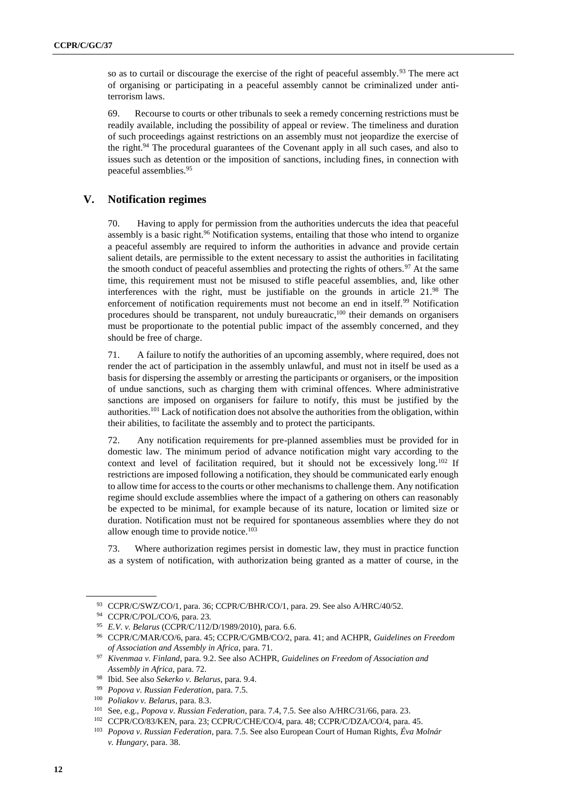so as to curtail or discourage the exercise of the right of peaceful assembly.<sup>93</sup> The mere act of organising or participating in a peaceful assembly cannot be criminalized under antiterrorism laws.

69. Recourse to courts or other tribunals to seek a remedy concerning restrictions must be readily available, including the possibility of appeal or review. The timeliness and duration of such proceedings against restrictions on an assembly must not jeopardize the exercise of the right.<sup>94</sup> The procedural guarantees of the Covenant apply in all such cases, and also to issues such as detention or the imposition of sanctions, including fines, in connection with peaceful assemblies.<sup>95</sup>

#### **V. Notification regimes**

70. Having to apply for permission from the authorities undercuts the idea that peaceful assembly is a basic right.<sup>96</sup> Notification systems, entailing that those who intend to organize a peaceful assembly are required to inform the authorities in advance and provide certain salient details, are permissible to the extent necessary to assist the authorities in facilitating the smooth conduct of peaceful assemblies and protecting the rights of others.<sup>97</sup> At the same time, this requirement must not be misused to stifle peaceful assemblies, and, like other interferences with the right, must be justifiable on the grounds in article 21.<sup>98</sup> The enforcement of notification requirements must not become an end in itself.<sup>99</sup> Notification procedures should be transparent, not unduly bureaucratic,<sup>100</sup> their demands on organisers must be proportionate to the potential public impact of the assembly concerned, and they should be free of charge.

71. A failure to notify the authorities of an upcoming assembly, where required, does not render the act of participation in the assembly unlawful, and must not in itself be used as a basis for dispersing the assembly or arresting the participants or organisers, or the imposition of undue sanctions, such as charging them with criminal offences. Where administrative sanctions are imposed on organisers for failure to notify, this must be justified by the authorities.<sup>101</sup> Lack of notification does not absolve the authorities from the obligation, within their abilities, to facilitate the assembly and to protect the participants.

72. Any notification requirements for pre-planned assemblies must be provided for in domestic law. The minimum period of advance notification might vary according to the context and level of facilitation required, but it should not be excessively long.<sup>102</sup> If restrictions are imposed following a notification, they should be communicated early enough to allow time for access to the courts or other mechanisms to challenge them. Any notification regime should exclude assemblies where the impact of a gathering on others can reasonably be expected to be minimal, for example because of its nature, location or limited size or duration. Notification must not be required for spontaneous assemblies where they do not allow enough time to provide notice.<sup>103</sup>

73. Where authorization regimes persist in domestic law, they must in practice function as a system of notification, with authorization being granted as a matter of course, in the

<sup>93</sup> CCPR/C/SWZ/CO/1, para. 36; CCPR/C/BHR/CO/1, para. 29. See also A/HRC/40/52.

<sup>94</sup> CCPR/C/POL/CO/6, para. 23.

<sup>95</sup> *E.V. v. Belarus* (CCPR/C/112/D/1989/2010), para. 6.6.

<sup>96</sup> CCPR/C/MAR/CO/6, para. 45; CCPR/C/GMB/CO/2, para. 41; and ACHPR, *Guidelines on Freedom of Association and Assembly in Africa*, para. 71.

<sup>97</sup> *Kivenmaa v. Finland*, para. 9.2. See also ACHPR, *Guidelines on Freedom of Association and Assembly in Africa*, para. 72.

<sup>98</sup> Ibid. See also *Sekerko v. Belarus*, para. 9.4.

<sup>99</sup> *Popova v. Russian Federation*, para. 7.5.

<sup>100</sup> *Poliakov v. Belarus*, para. 8.3.

<sup>101</sup> See, e.g., *Popova v. Russian Federation*, para. 7.4, 7.5. See also A/HRC/31/66, para. 23.

<sup>102</sup> CCPR/CO/83/KEN, para. 23; CCPR/C/CHE/CO/4, para. 48; CCPR/C/DZA/CO/4, para. 45.

<sup>103</sup> *Popova v. Russian Federation*, para. 7.5. See also European Court of Human Rights, *Éva Molnár v. Hungary*, para. 38.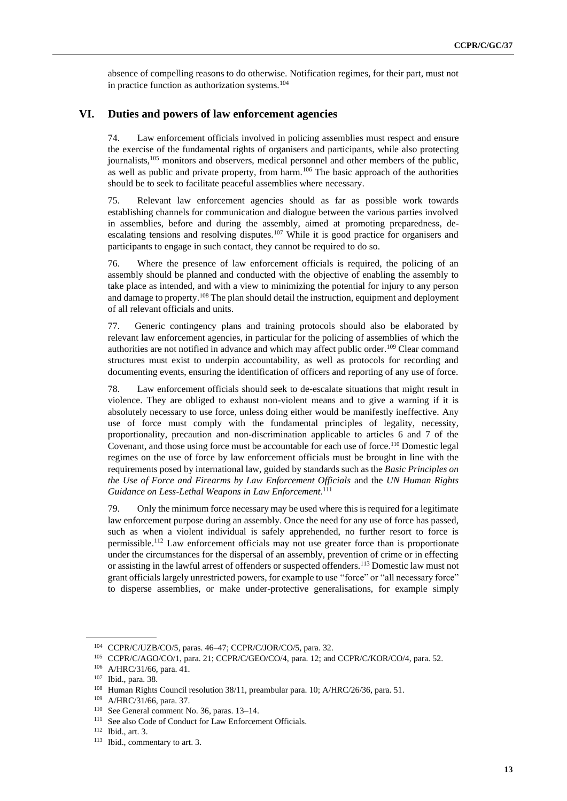absence of compelling reasons to do otherwise. Notification regimes, for their part, must not in practice function as authorization systems.<sup>104</sup>

#### **VI. Duties and powers of law enforcement agencies**

74. Law enforcement officials involved in policing assemblies must respect and ensure the exercise of the fundamental rights of organisers and participants, while also protecting journalists,<sup>105</sup> monitors and observers, medical personnel and other members of the public, as well as public and private property, from harm.<sup>106</sup> The basic approach of the authorities should be to seek to facilitate peaceful assemblies where necessary.

75. Relevant law enforcement agencies should as far as possible work towards establishing channels for communication and dialogue between the various parties involved in assemblies, before and during the assembly, aimed at promoting preparedness, deescalating tensions and resolving disputes.<sup>107</sup> While it is good practice for organisers and participants to engage in such contact, they cannot be required to do so.

76. Where the presence of law enforcement officials is required, the policing of an assembly should be planned and conducted with the objective of enabling the assembly to take place as intended, and with a view to minimizing the potential for injury to any person and damage to property.<sup>108</sup> The plan should detail the instruction, equipment and deployment of all relevant officials and units.

77. Generic contingency plans and training protocols should also be elaborated by relevant law enforcement agencies, in particular for the policing of assemblies of which the authorities are not notified in advance and which may affect public order.<sup>109</sup> Clear command structures must exist to underpin accountability, as well as protocols for recording and documenting events, ensuring the identification of officers and reporting of any use of force.

78. Law enforcement officials should seek to de-escalate situations that might result in violence. They are obliged to exhaust non-violent means and to give a warning if it is absolutely necessary to use force, unless doing either would be manifestly ineffective. Any use of force must comply with the fundamental principles of legality, necessity, proportionality, precaution and non-discrimination applicable to articles 6 and 7 of the Covenant, and those using force must be accountable for each use of force.<sup>110</sup> Domestic legal regimes on the use of force by law enforcement officials must be brought in line with the requirements posed by international law, guided by standards such as the *Basic Principles on the Use of Force and Firearms by Law Enforcement Officials* and the *UN Human Rights Guidance on Less-Lethal Weapons in Law Enforcement*. 111

79. Only the minimum force necessary may be used where this is required for a legitimate law enforcement purpose during an assembly. Once the need for any use of force has passed, such as when a violent individual is safely apprehended, no further resort to force is permissible.<sup>112</sup> Law enforcement officials may not use greater force than is proportionate under the circumstances for the dispersal of an assembly, prevention of crime or in effecting or assisting in the lawful arrest of offenders or suspected offenders.<sup>113</sup> Domestic law must not grant officials largely unrestricted powers, for example to use "force" or "all necessary force" to disperse assemblies, or make under-protective generalisations, for example simply

<sup>104</sup> CCPR/C/UZB/CO/5, paras. 46–47; CCPR/C/JOR/CO/5, para. 32.

<sup>105</sup> CCPR/C/AGO/CO/1, para. 21; CCPR/C/GEO/CO/4, para. 12; and CCPR/C/KOR/CO/4, para. 52.

<sup>106</sup> A/HRC/31/66, para. 41.

<sup>107</sup> Ibid., para. 38.

<sup>108</sup> Human Rights Council resolution 38/11, preambular para. 10; A/HRC/26/36, para. 51.

<sup>109</sup> A/HRC/31/66, para. 37.

<sup>110</sup> See General comment No. 36, paras. 13–14.

<sup>&</sup>lt;sup>111</sup> See also Code of Conduct for Law Enforcement Officials.

<sup>112</sup> Ibid., art. 3.

<sup>113</sup> Ibid., commentary to art. 3.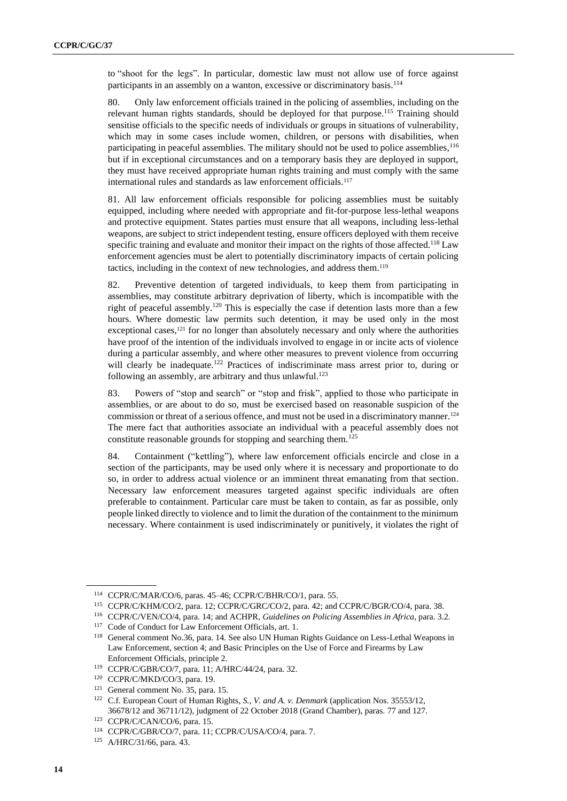to "shoot for the legs". In particular, domestic law must not allow use of force against participants in an assembly on a wanton, excessive or discriminatory basis.<sup>114</sup>

80. Only law enforcement officials trained in the policing of assemblies, including on the relevant human rights standards, should be deployed for that purpose.<sup>115</sup> Training should sensitise officials to the specific needs of individuals or groups in situations of vulnerability, which may in some cases include women, children, or persons with disabilities, when participating in peaceful assemblies. The military should not be used to police assemblies, <sup>116</sup> but if in exceptional circumstances and on a temporary basis they are deployed in support, they must have received appropriate human rights training and must comply with the same international rules and standards as law enforcement officials.<sup>117</sup>

81. All law enforcement officials responsible for policing assemblies must be suitably equipped, including where needed with appropriate and fit-for-purpose less-lethal weapons and protective equipment. States parties must ensure that all weapons, including less-lethal weapons, are subject to strict independent testing, ensure officers deployed with them receive specific training and evaluate and monitor their impact on the rights of those affected.<sup>118</sup> Law enforcement agencies must be alert to potentially discriminatory impacts of certain policing tactics, including in the context of new technologies, and address them.<sup>119</sup>

82. Preventive detention of targeted individuals, to keep them from participating in assemblies, may constitute arbitrary deprivation of liberty, which is incompatible with the right of peaceful assembly.<sup>120</sup> This is especially the case if detention lasts more than a few hours. Where domestic law permits such detention, it may be used only in the most exceptional cases, $121$  for no longer than absolutely necessary and only where the authorities have proof of the intention of the individuals involved to engage in or incite acts of violence during a particular assembly, and where other measures to prevent violence from occurring will clearly be inadequate.<sup>122</sup> Practices of indiscriminate mass arrest prior to, during or following an assembly, are arbitrary and thus unlawful.<sup>123</sup>

83. Powers of "stop and search" or "stop and frisk", applied to those who participate in assemblies, or are about to do so, must be exercised based on reasonable suspicion of the commission or threat of a serious offence, and must not be used in a discriminatory manner.<sup>124</sup> The mere fact that authorities associate an individual with a peaceful assembly does not constitute reasonable grounds for stopping and searching them.<sup>125</sup>

84. Containment ("kettling"), where law enforcement officials encircle and close in a section of the participants, may be used only where it is necessary and proportionate to do so, in order to address actual violence or an imminent threat emanating from that section. Necessary law enforcement measures targeted against specific individuals are often preferable to containment. Particular care must be taken to contain, as far as possible, only people linked directly to violence and to limit the duration of the containment to the minimum necessary. Where containment is used indiscriminately or punitively, it violates the right of

<sup>114</sup> CCPR/C/MAR/CO/6, paras. 45–46; CCPR/C/BHR/CO/1, para. 55.

<sup>115</sup> CCPR/C/KHM/CO/2, para. 12; CCPR/C/GRC/CO/2, para. 42; and CCPR/C/BGR/CO/4, para. 38.

<sup>116</sup> CCPR/C/VEN/CO/4, para. 14; and ACHPR, *Guidelines on Policing Assemblies in Africa*, para. 3.2.

<sup>117</sup> Code of Conduct for Law Enforcement Officials, art. 1.

<sup>118</sup> General comment No.36, para. 14. See also UN Human Rights Guidance on Less-Lethal Weapons in Law Enforcement, section 4; and Basic Principles on the Use of Force and Firearms by Law Enforcement Officials, principle 2.

<sup>119</sup> CCPR/C/GBR/CO/7, para. 11; A/HRC/44/24, para. 32.

<sup>120</sup> CCPR/C/MKD/CO/3, para. 19.

<sup>121</sup> General comment No. 35, para. 15.

<sup>122</sup> C.f. European Court of Human Rights, *S., V. and A. v. Denmark* (application Nos. 35553/12, 36678/12 and 36711/12), judgment of 22 October 2018 (Grand Chamber), paras. 77 and 127.

<sup>123</sup> CCPR/C/CAN/CO/6, para. 15.

<sup>124</sup> CCPR/C/GBR/CO/7, para. 11; CCPR/C/USA/CO/4, para. 7.

<sup>125</sup> A/HRC/31/66, para. 43.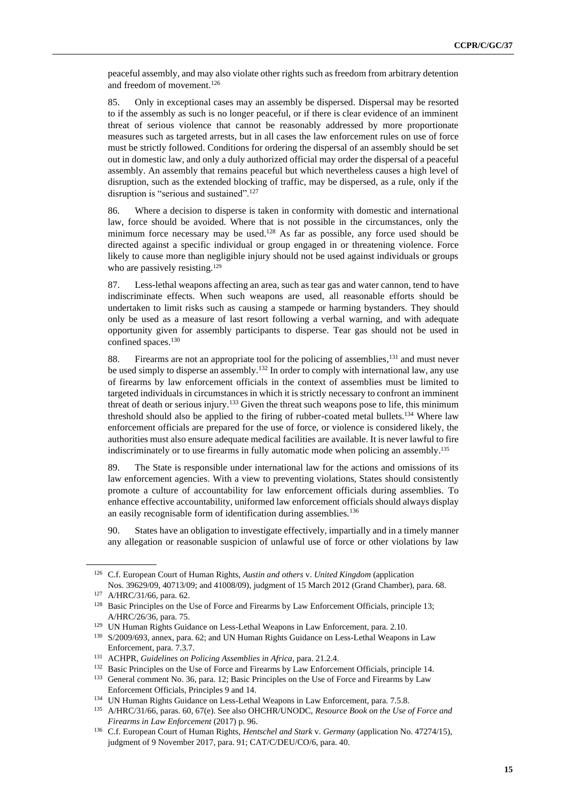peaceful assembly, and may also violate other rights such as freedom from arbitrary detention and freedom of movement.<sup>126</sup>

85. Only in exceptional cases may an assembly be dispersed. Dispersal may be resorted to if the assembly as such is no longer peaceful, or if there is clear evidence of an imminent threat of serious violence that cannot be reasonably addressed by more proportionate measures such as targeted arrests, but in all cases the law enforcement rules on use of force must be strictly followed. Conditions for ordering the dispersal of an assembly should be set out in domestic law, and only a duly authorized official may order the dispersal of a peaceful assembly. An assembly that remains peaceful but which nevertheless causes a high level of disruption, such as the extended blocking of traffic, may be dispersed, as a rule, only if the disruption is "serious and sustained".<sup>127</sup>

86. Where a decision to disperse is taken in conformity with domestic and international law, force should be avoided. Where that is not possible in the circumstances, only the minimum force necessary may be used. $128$  As far as possible, any force used should be directed against a specific individual or group engaged in or threatening violence. Force likely to cause more than negligible injury should not be used against individuals or groups who are passively resisting.<sup>129</sup>

87. Less-lethal weapons affecting an area, such as tear gas and water cannon, tend to have indiscriminate effects. When such weapons are used, all reasonable efforts should be undertaken to limit risks such as causing a stampede or harming bystanders. They should only be used as a measure of last resort following a verbal warning, and with adequate opportunity given for assembly participants to disperse. Tear gas should not be used in confined spaces.<sup>130</sup>

88. Firearms are not an appropriate tool for the policing of assemblies,<sup>131</sup> and must never be used simply to disperse an assembly.<sup>132</sup> In order to comply with international law, any use of firearms by law enforcement officials in the context of assemblies must be limited to targeted individuals in circumstances in which it is strictly necessary to confront an imminent threat of death or serious injury.<sup>133</sup> Given the threat such weapons pose to life, this minimum threshold should also be applied to the firing of rubber-coated metal bullets.<sup>134</sup> Where law enforcement officials are prepared for the use of force, or violence is considered likely, the authorities must also ensure adequate medical facilities are available. It is never lawful to fire indiscriminately or to use firearms in fully automatic mode when policing an assembly. 135

89. The State is responsible under international law for the actions and omissions of its law enforcement agencies. With a view to preventing violations, States should consistently promote a culture of accountability for law enforcement officials during assemblies. To enhance effective accountability, uniformed law enforcement officials should always display an easily recognisable form of identification during assemblies.<sup>136</sup>

90. States have an obligation to investigate effectively, impartially and in a timely manner any allegation or reasonable suspicion of unlawful use of force or other violations by law

<sup>126</sup> C.f. European Court of Human Rights, *Austin and others* v. *United Kingdom* (application Nos. 39629/09, 40713/09; and 41008/09), judgment of 15 March 2012 (Grand Chamber), para. 68.

<sup>127</sup> A/HRC/31/66, para. 62.

<sup>&</sup>lt;sup>128</sup> Basic Principles on the Use of Force and Firearms by Law Enforcement Officials, principle 13; A/HRC/26/36, para. 75.

<sup>129</sup> UN Human Rights Guidance on Less-Lethal Weapons in Law Enforcement, para. 2.10.

<sup>130</sup> S/2009/693, annex, para. 62; and UN Human Rights Guidance on Less-Lethal Weapons in Law Enforcement, para. 7.3.7.

<sup>131</sup> ACHPR, *Guidelines on Policing Assemblies in Africa*, para. 21.2.4.

<sup>&</sup>lt;sup>132</sup> Basic Principles on the Use of Force and Firearms by Law Enforcement Officials, principle 14.

<sup>&</sup>lt;sup>133</sup> General comment No. 36, para. 12; Basic Principles on the Use of Force and Firearms by Law Enforcement Officials, Principles 9 and 14.

<sup>134</sup> UN Human Rights Guidance on Less-Lethal Weapons in Law Enforcement, para. 7.5.8.

<sup>135</sup> A/HRC/31/66, paras. 60, 67(e). See also OHCHR/UNODC, *Resource Book on the Use of Force and Firearms in Law Enforcement* (2017) p. 96.

<sup>136</sup> C.f. European Court of Human Rights, *Hentschel and Stark* v. *Germany* (application No. 47274/15), judgment of 9 November 2017, para. 91; CAT/C/DEU/CO/6, para. 40.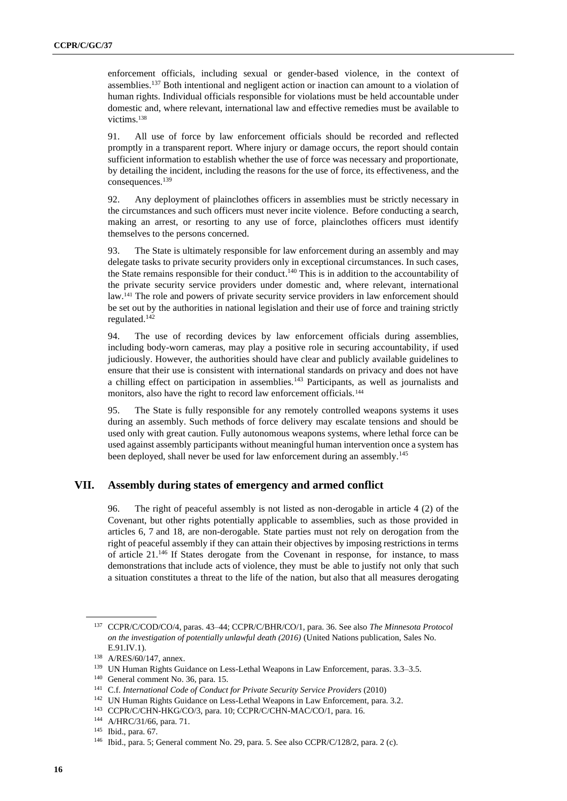enforcement officials, including sexual or gender-based violence, in the context of assemblies.<sup>137</sup> Both intentional and negligent action or inaction can amount to a violation of human rights. Individual officials responsible for violations must be held accountable under domestic and, where relevant, international law and effective remedies must be available to victims.<sup>138</sup>

91. All use of force by law enforcement officials should be recorded and reflected promptly in a transparent report. Where injury or damage occurs, the report should contain sufficient information to establish whether the use of force was necessary and proportionate, by detailing the incident, including the reasons for the use of force, its effectiveness, and the consequences.<sup>139</sup>

92. Any deployment of plainclothes officers in assemblies must be strictly necessary in the circumstances and such officers must never incite violence. Before conducting a search, making an arrest, or resorting to any use of force, plainclothes officers must identify themselves to the persons concerned.

93. The State is ultimately responsible for law enforcement during an assembly and may delegate tasks to private security providers only in exceptional circumstances. In such cases, the State remains responsible for their conduct.<sup>140</sup> This is in addition to the accountability of the private security service providers under domestic and, where relevant, international law.<sup>141</sup> The role and powers of private security service providers in law enforcement should be set out by the authorities in national legislation and their use of force and training strictly regulated.<sup>142</sup>

94. The use of recording devices by law enforcement officials during assemblies, including body-worn cameras, may play a positive role in securing accountability, if used judiciously. However, the authorities should have clear and publicly available guidelines to ensure that their use is consistent with international standards on privacy and does not have a chilling effect on participation in assemblies.<sup>143</sup> Participants, as well as journalists and monitors, also have the right to record law enforcement officials.<sup>144</sup>

95. The State is fully responsible for any remotely controlled weapons systems it uses during an assembly. Such methods of force delivery may escalate tensions and should be used only with great caution. Fully autonomous weapons systems, where lethal force can be used against assembly participants without meaningful human intervention once a system has been deployed, shall never be used for law enforcement during an assembly.<sup>145</sup>

#### **VII. Assembly during states of emergency and armed conflict**

96. The right of peaceful assembly is not listed as non-derogable in article 4 (2) of the Covenant, but other rights potentially applicable to assemblies, such as those provided in articles 6, 7 and 18, are non-derogable. State parties must not rely on derogation from the right of peaceful assembly if they can attain their objectives by imposing restrictions in terms of article 21.<sup>146</sup> If States derogate from the Covenant in response, for instance, to mass demonstrations that include acts of violence, they must be able to justify not only that such a situation constitutes a threat to the life of the nation, but also that all measures derogating

<sup>137</sup> CCPR/C/COD/CO/4, paras. 43–44; CCPR/C/BHR/CO/1, para. 36. See also *The Minnesota Protocol on the investigation of potentially unlawful death (2016)* (United Nations publication, Sales No. E.91.IV.1).

<sup>138</sup> A/RES/60/147, annex.

<sup>139</sup> UN Human Rights Guidance on Less-Lethal Weapons in Law Enforcement, paras. 3.3–3.5.

<sup>140</sup> General comment No. 36, para. 15.

<sup>141</sup> C.f. *International Code of Conduct for Private Security Service Providers* (2010)

<sup>142</sup> UN Human Rights Guidance on Less-Lethal Weapons in Law Enforcement, para. 3.2.

<sup>143</sup> CCPR/C/CHN-HKG/CO/3, para. 10; CCPR/C/CHN-MAC/CO/1, para. 16.

<sup>144</sup> A/HRC/31/66, para. 71.

<sup>145</sup> Ibid., para. 67.

<sup>146</sup> Ibid., para. 5; General comment No. 29, para. 5. See also CCPR/C/128/2, para. 2 (c).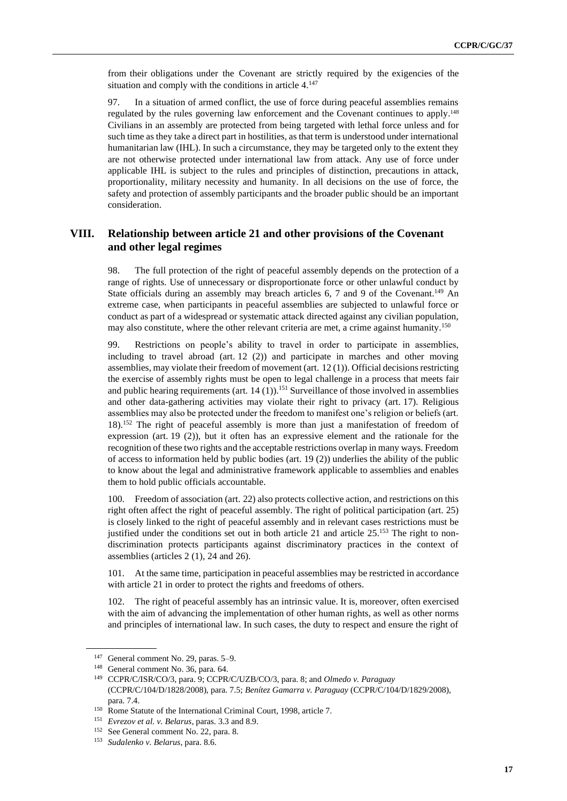from their obligations under the Covenant are strictly required by the exigencies of the situation and comply with the conditions in article  $4.147$ 

97. In a situation of armed conflict, the use of force during peaceful assemblies remains regulated by the rules governing law enforcement and the Covenant continues to apply.<sup>148</sup> Civilians in an assembly are protected from being targeted with lethal force unless and for such time as they take a direct part in hostilities, as that term is understood under international humanitarian law (IHL). In such a circumstance, they may be targeted only to the extent they are not otherwise protected under international law from attack. Any use of force under applicable IHL is subject to the rules and principles of distinction, precautions in attack, proportionality, military necessity and humanity. In all decisions on the use of force, the safety and protection of assembly participants and the broader public should be an important consideration.

#### **VIII. Relationship between article 21 and other provisions of the Covenant and other legal regimes**

98. The full protection of the right of peaceful assembly depends on the protection of a range of rights. Use of unnecessary or disproportionate force or other unlawful conduct by State officials during an assembly may breach articles 6, 7 and 9 of the Covenant.<sup>149</sup> An extreme case, when participants in peaceful assemblies are subjected to unlawful force or conduct as part of a widespread or systematic attack directed against any civilian population, may also constitute, where the other relevant criteria are met, a crime against humanity.<sup>150</sup>

99. Restrictions on people's ability to travel in order to participate in assemblies, including to travel abroad (art. 12 (2)) and participate in marches and other moving assemblies, may violate their freedom of movement (art. 12 (1)). Official decisions restricting the exercise of assembly rights must be open to legal challenge in a process that meets fair and public hearing requirements (art.  $14 (1)$ ).<sup>151</sup> Surveillance of those involved in assemblies and other data-gathering activities may violate their right to privacy (art. 17). Religious assemblies may also be protected under the freedom to manifest one's religion or beliefs (art. 18).<sup>152</sup> The right of peaceful assembly is more than just a manifestation of freedom of expression (art. 19 (2)), but it often has an expressive element and the rationale for the recognition of these two rights and the acceptable restrictions overlap in many ways. Freedom of access to information held by public bodies (art. 19 (2)) underlies the ability of the public to know about the legal and administrative framework applicable to assemblies and enables them to hold public officials accountable.

100. Freedom of association (art. 22) also protects collective action, and restrictions on this right often affect the right of peaceful assembly. The right of political participation (art. 25) is closely linked to the right of peaceful assembly and in relevant cases restrictions must be justified under the conditions set out in both article 21 and article 25.<sup>153</sup> The right to nondiscrimination protects participants against discriminatory practices in the context of assemblies (articles 2 (1), 24 and 26).

101. At the same time, participation in peaceful assemblies may be restricted in accordance with article 21 in order to protect the rights and freedoms of others.

102. The right of peaceful assembly has an intrinsic value. It is, moreover, often exercised with the aim of advancing the implementation of other human rights, as well as other norms and principles of international law. In such cases, the duty to respect and ensure the right of

<sup>147</sup> General comment No. 29, paras. 5–9.

<sup>148</sup> General comment No. 36, para. 64.

<sup>149</sup> CCPR/C/ISR/CO/3, para. 9; CCPR/C/UZB/CO/3, para. 8; and *Olmedo v. Paraguay* (CCPR/C/104/D/1828/2008), para. 7.5; *Benítez Gamarra v. Paraguay* (CCPR/C/104/D/1829/2008), para. 7.4.

<sup>&</sup>lt;sup>150</sup> Rome Statute of the International Criminal Court, 1998, article 7.

<sup>151</sup> *Evrezov et al. v. Belarus*, paras. 3.3 and 8.9.

<sup>152</sup> See General comment No. 22, para. 8.

<sup>153</sup> *Sudalenko v. Belarus*, para. 8.6.